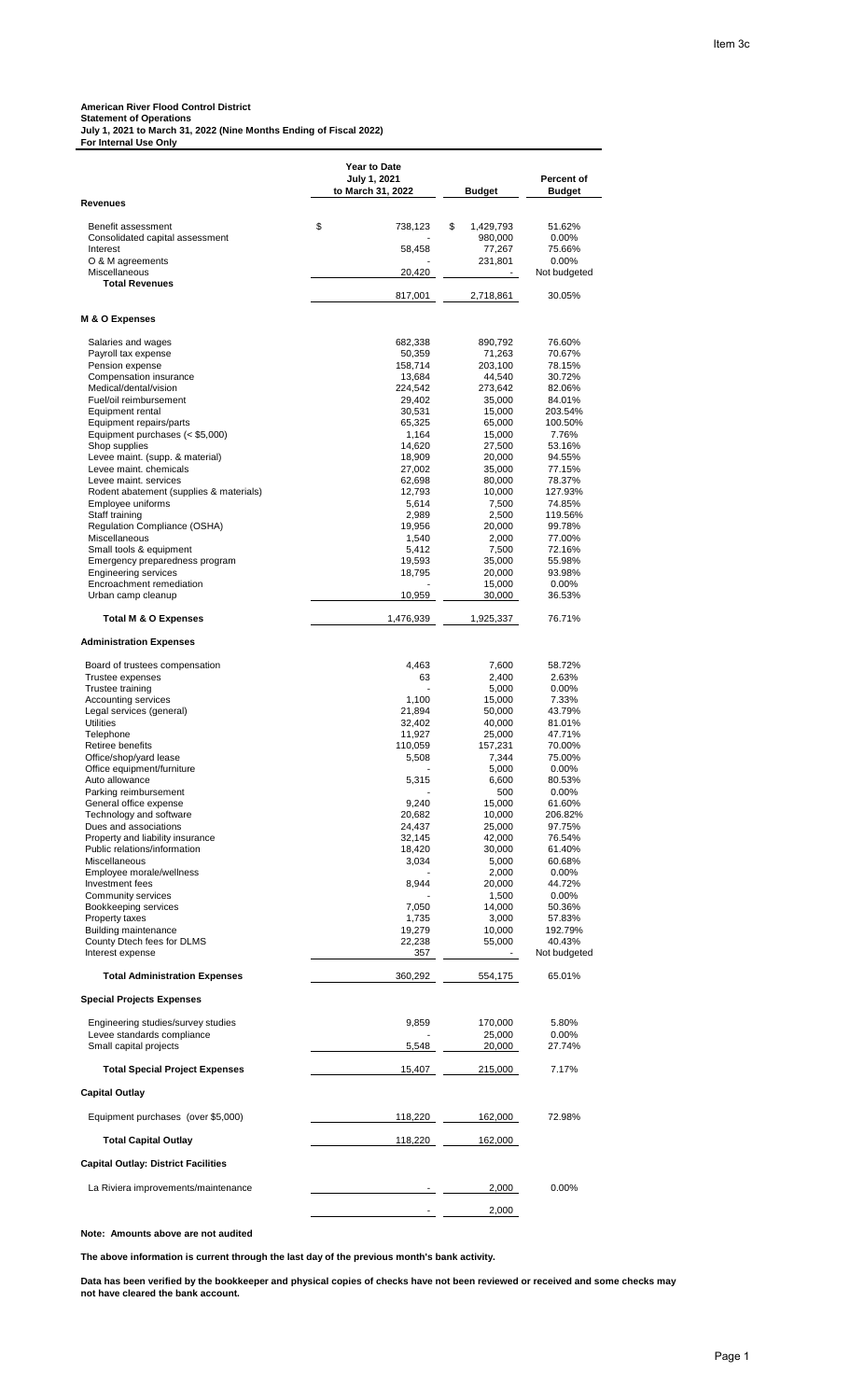## **American River Flood Control District**

**For Internal Use Only**

**Statement of Operations July 1, 2021 to March 31, 2022 (Nine Months Ending of Fiscal 2022)**

|                                                           | <b>Year to Date</b> |                   |                        |
|-----------------------------------------------------------|---------------------|-------------------|------------------------|
|                                                           | July 1, 2021        |                   | Percent of             |
| <b>Revenues</b>                                           | to March 31, 2022   | <b>Budget</b>     | <b>Budget</b>          |
|                                                           |                     |                   |                        |
| Benefit assessment                                        | \$<br>738,123       | \$<br>1,429,793   | 51.62%                 |
| Consolidated capital assessment<br>Interest               | 58,458              | 980,000<br>77,267 | 0.00%<br>75.66%        |
| O & M agreements                                          |                     | 231,801           | $0.00\%$               |
| Miscellaneous                                             | 20,420              |                   | Not budgeted           |
| <b>Total Revenues</b>                                     |                     |                   |                        |
|                                                           | 817,001             | 2,718,861         | 30.05%                 |
| M & O Expenses                                            |                     |                   |                        |
|                                                           |                     |                   |                        |
| Salaries and wages<br>Payroll tax expense                 | 682,338<br>50,359   | 890,792<br>71,263 | 76.60%<br>70.67%       |
| Pension expense                                           | 158,714             | 203,100           | 78.15%                 |
| Compensation insurance                                    | 13,684              | 44,540            | 30.72%                 |
| Medical/dental/vision                                     | 224,542             | 273,642           | 82.06%                 |
| Fuel/oil reimbursement<br>Equipment rental                | 29,402<br>30,531    | 35,000<br>15,000  | 84.01%<br>203.54%      |
| Equipment repairs/parts                                   | 65,325              | 65,000            | 100.50%                |
| Equipment purchases (< \$5,000)                           | 1,164               | 15,000            | 7.76%                  |
| Shop supplies                                             | 14,620              | 27,500            | 53.16%                 |
| Levee maint. (supp. & material)<br>Levee maint. chemicals | 18,909<br>27,002    | 20,000<br>35,000  | 94.55%<br>77.15%       |
| Levee maint. services                                     | 62,698              | 80,000            | 78.37%                 |
| Rodent abatement (supplies & materials)                   | 12,793              | 10,000            | 127.93%                |
| Employee uniforms                                         | 5,614               | 7,500             | 74.85%                 |
| Staff training<br>Regulation Compliance (OSHA)            | 2,989<br>19,956     | 2,500<br>20,000   | 119.56%<br>99.78%      |
| Miscellaneous                                             | 1,540               | 2,000             | 77.00%                 |
| Small tools & equipment                                   | 5,412               | 7,500             | 72.16%                 |
| Emergency preparedness program                            | 19,593              | 35,000            | 55.98%                 |
| <b>Engineering services</b>                               | 18,795              | 20,000            | 93.98%                 |
| Encroachment remediation<br>Urban camp cleanup            | 10,959              | 15,000<br>30,000  | 0.00%<br>36.53%        |
|                                                           |                     |                   |                        |
| Total M & O Expenses                                      | 1,476,939           | 1,925,337         | 76.71%                 |
| <b>Administration Expenses</b>                            |                     |                   |                        |
| Board of trustees compensation                            | 4,463               | 7,600             | 58.72%                 |
| Trustee expenses                                          | 63                  | 2,400             | 2.63%                  |
| Trustee training                                          |                     | 5,000             | $0.00\%$               |
| <b>Accounting services</b><br>Legal services (general)    | 1.100<br>21,894     | 15,000<br>50,000  | 7.33%<br>43.79%        |
| <b>Utilities</b>                                          | 32,402              | 40,000            | 81.01%                 |
| Telephone                                                 | 11,927              | 25,000            | 47.71%                 |
| Retiree benefits                                          | 110,059             | 157,231           | 70.00%                 |
| Office/shop/yard lease<br>Office equipment/furniture      | 5,508               | 7,344<br>5,000    | 75.00%<br>0.00%        |
| Auto allowance                                            | 5,315               | 6,600             | 80.53%                 |
| Parking reimbursement                                     |                     | 500               | 0.00%                  |
| General office expense                                    | 9,240               | 15,000            | 61.60%                 |
| Technology and software                                   | 20,682              | 10,000            | 206.82%                |
| Dues and associations<br>Property and liability insurance | 24,437<br>32,145    | 25,000<br>42,000  | 97.75%<br>76.54%       |
| Public relations/information                              | 18,420              | 30,000            | 61.40%                 |
| Miscellaneous                                             | 3,034               | 5,000             | 60.68%                 |
| Employee morale/wellness                                  |                     | 2,000             | 0.00%                  |
| Investment fees<br>Community services                     | 8,944               | 20,000<br>1,500   | 44.72%<br>$0.00\%$     |
| Bookkeeping services                                      | 7,050               | 14,000            | 50.36%                 |
| <b>Property taxes</b>                                     | 1,735               | 3,000             | 57.83%                 |
| <b>Building maintenance</b>                               | 19,279              | 10,000            | 192.79%                |
| County Dtech fees for DLMS<br>Interest expense            | 22,238<br>357       | 55,000<br>$\sim$  | 40.43%<br>Not budgeted |
| <b>Total Administration Expenses</b>                      | 360,292             | 554,175           | 65.01%                 |
| <b>Special Projects Expenses</b>                          |                     |                   |                        |
|                                                           |                     |                   |                        |
| Engineering studies/survey studies                        | 9,859               | 170,000           | 5.80%                  |
| Levee standards compliance<br>Small capital projects      | 5,548               | 25,000<br>20,000  | 0.00%<br>27.74%        |
|                                                           |                     |                   |                        |
| <b>Total Special Project Expenses</b>                     | 15,407              | 215,000           | 7.17%                  |
| <b>Capital Outlay</b>                                     |                     |                   |                        |
| Equipment purchases (over \$5,000)                        | 118,220             | 162,000           | 72.98%                 |
| <b>Total Capital Outlay</b>                               | 118,220             | 162,000           |                        |
| <b>Capital Outlay: District Facilities</b>                |                     |                   |                        |
| La Riviera improvements/maintenance                       |                     | 2,000             | 0.00%                  |
|                                                           |                     | 2,000             |                        |

**Note: Amounts above are not audited** 

**The above information is current through the last day of the previous month's bank activity.**

**Data has been verified by the bookkeeper and physical copies of checks have not been reviewed or received and some checks may not have cleared the bank account.**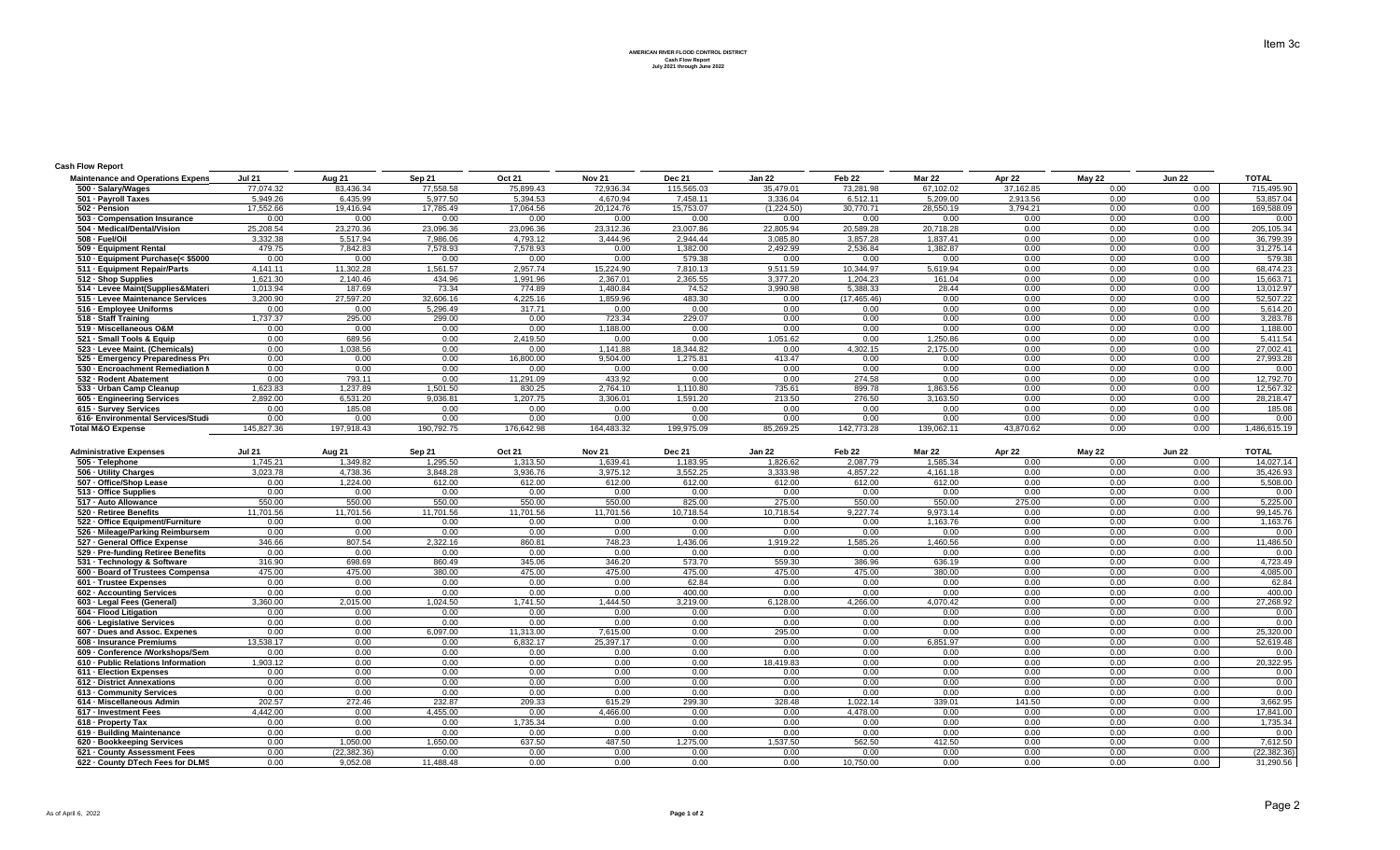**AMERICAN RIVER FLOOD CONTROL DISTRICT Cash Flow Report July 2021 through June 2022**

## **Cash Flow Report**

| <b>Maintenance and Operations Expens</b> | <b>Jul 21</b> | Aug 21     | Sep 21     | <b>Oct 21</b> | <b>Nov 21</b> | <b>Dec 21</b> | Jan 22     | Feb 22       | <b>Mar 22</b> | Apr 22    | <b>May 22</b> | <b>Jun 22</b> | <b>TOTAL</b> |
|------------------------------------------|---------------|------------|------------|---------------|---------------|---------------|------------|--------------|---------------|-----------|---------------|---------------|--------------|
| 500 · Salary/Wages                       | 77,074.32     | 83,436.34  | 77,558.58  | 75,899.43     | 72,936.34     | 115,565.03    | 35,479.01  | 73,281.98    | 67.102.02     | 37,162.85 | 0.00          | 0.00          | 715,495.90   |
| 501 - Payroll Taxes                      | 5.949.26      | 6.435.99   | 5.977.50   | 5.394.53      | 4.670.94      | 7.458.11      | 3.336.04   | 6.512.11     | 5.209.00      | 2.913.56  | 0.00          | 0.00          | 53,857.04    |
| 502 - Pension                            | 17,552.66     | 19,416.94  | 17,785.49  | 17,064.56     | 20,124.76     | 15,753.07     | (1,224.50) | 30,770.71    | 28,550.19     | 3,794.21  | 0.00          | 0.00          | 169,588.09   |
| 503 - Compensation Insurance             | 0.00          | 0.00       | 0.00       | 0.00          | 0.00          | 0.00          | 0.00       | 0.00         | 0.00          | 0.00      | 0.00          | 0.00          | 0.00         |
| 504 - Medical/Dental/Vision              | 25.208.54     | 23,270.36  | 23,096.36  | 23,096.36     | 23,312.36     | 23,007.86     | 22,805.94  | 20,589.28    | 20.718.28     | 0.00      | 0.00          | 0.00          | 205,105.34   |
| 508 - Fuel/Oil                           | 3,332.38      | 5,517.94   | 7,986.06   | 4,793.12      | 3.444.96      | 2.944.44      | 3,085.80   | 3,857.28     | 1,837.41      | 0.00      | 0.00          | 0.00          | 36,799.39    |
| 509 - Equipment Rental                   | 479.75        | 7,842.83   | 7,578.93   | 7,578.93      | 0.00          | 1,382.00      | 2,492.99   | 2,536.84     | 1.382.87      | 0.00      | 0.00          | 0.00          | 31,275.14    |
| 510 - Equipment Purchase(< \$5000        | 0.00          | 0.00       | 0.00       | 0.00          | 0.00          | 579.38        | 0.00       | 0.00         | 0.00          | 0.00      | 0.00          | 0.00          | 579.38       |
| 511 - Equipment Repair/Parts             | 4,141.11      | 11,302.28  | 1,561.57   | 2.957.74      | 15.224.90     | 7,810.13      | 9,511.59   | 10.344.97    | 5,619.94      | 0.00      | 0.00          | 0.00          | 68,474.23    |
| 512 - Shop Supplies                      | 1,621.30      | 2,140.46   | 434.96     | 1,991.96      | 2,367.01      | 2,365.55      | 3,377.20   | 1,204.23     | 161.04        | 0.00      | 0.00          | 0.00          | 15,663.71    |
| 514 - Levee Maint(Supplies&Materi        | 1,013.94      | 187.69     | 73.34      | 774.89        | 1,480.84      | 74.52         | 3,990.98   | 5,388.33     | 28.44         | 0.00      | 0.00          | 0.00          | 13,012.97    |
| 515 - Levee Maintenance Services         | 3,200.90      | 27,597.20  | 32,606.16  | 4,225.16      | 1,859.96      | 483.30        | 0.00       | (17, 465.46) | 0.00          | 0.00      | 0.00          | 0.00          | 52,507.22    |
| 516 - Employee Uniforms                  | 0.00          | 0.00       | 5,296.49   | 317.71        | 0.00          | 0.00          | 0.00       | 0.00         | 0.00          | 0.00      | 0.00          | 0.00          | 5,614.20     |
| 518 - Staff Training                     | 1,737.37      | 295.00     | 299.00     | 0.00          | 723.34        | 229.07        | 0.00       | 0.00         | 0.00          | 0.00      | 0.00          | 0.00          | 3,283.78     |
| 519 - Miscellaneous O&M                  | 0.00          | 0.00       | 0.00       | 0.00          | 1,188.00      | 0.00          | 0.00       | 0.00         | 0.00          | 0.00      | 0.00          | 0.00          | 1,188.00     |
| 521 - Small Tools & Equip                | 0.00          | 689.56     | 0.00       | 2,419.50      | 0.00          | 0.00          | 1,051.62   | 0.00         | 1,250.86      | 0.00      | 0.00          | 0.00          | 5,411.54     |
| 523 - Levee Maint. (Chemicals)           | 0.00          | 1,038.56   | 0.00       | 0.00          | 1,141.88      | 18,344.82     | 0.00       | 4,302.15     | 2,175.00      | 0.00      | 0.00          | 0.00          | 27,002.41    |
| 525 - Emergency Preparedness Pro         | 0.00          | 0.00       | 0.00       | 16,800.00     | 9.504.00      | 1,275.81      | 413.47     | 0.00         | 0.00          | 0.00      | 0.00          | 0.00          | 27,993.28    |
| 530 - Encroachment Remediation M         | 0.00          | 0.00       | 0.00       | 0.00          | 0.00          | 0.00          | 0.00       | 0.00         | 0.00          | 0.00      | 0.00          | 0.00          | 0.00         |
| 532 - Rodent Abatement                   | 0.00          | 793.11     | 0.00       | 11,291.09     | 433.92        | 0.00          | 0.00       | 274.58       | 0.00          | 0.00      | 0.00          | 0.00          | 12,792.70    |
| 533 - Urban Camp Cleanup                 | 1,623.83      | 1,237.89   | 1,501.50   | 830.25        | 2,764.10      | 1,110.80      | 735.61     | 899.78       | 1,863.56      | 0.00      | 0.00          | 0.00          | 12,567.32    |
| 605 - Engineering Services               | 2,892.00      | 6,531.20   | 9,036.81   | 1,207.75      | 3,306.01      | 1,591.20      | 213.50     | 276.50       | 3,163.50      | 0.00      | 0.00          | 0.00          | 28,218.47    |
| 615 - Survey Services                    | 0.00          | 185.08     | 0.00       | 0.00          | 0.00          | 0.00          | 0.00       | 0.00         | 0.00          | 0.00      | 0.00          | 0.00          | 185.08       |
| 616- Environmental Services/Studi        | 0.00          | 0.00       | 0.00       | 0.00          | 0.00          | 0.00          | 0.00       | 0.00         | 0.00          | 0.00      | 0.00          | 0.00          | 0.00         |
| <b>Total M&amp;O Expense</b>             | 145.827.36    | 197.918.43 | 190,792.75 | 176.642.98    | 164,483.32    | 199.975.09    | 85,269.25  | 142.773.28   | 139.062.11    | 43.870.62 | 0.00          | 0.00          | 486,615.19   |

| <b>Administrative Expenses</b>     | <b>Jul 21</b> | Aug 21        | Sep 21    | Oct 21    | <b>Nov 21</b> | <b>Dec 21</b> | <b>Jan 22</b> | Feb 22    | <b>Mar 22</b> | Apr 22 | <b>May 22</b> | <b>Jun 22</b> | <b>TOTAL</b> |
|------------------------------------|---------------|---------------|-----------|-----------|---------------|---------------|---------------|-----------|---------------|--------|---------------|---------------|--------------|
| 505 - Telephone                    | 1.745.21      | 1.349.82      | 1.295.50  | 1.313.50  | 1.639.41      | 1.183.95      | 1.826.62      | 2.087.79  | 1.585.34      | 0.00   | 0.00          | 0.00          | 14.027.14    |
| 506 - Utility Charges              | 3,023.78      | 4,738.36      | 3,848.28  | 3,936.76  | 3,975.12      | 3,552.25      | 3,333.98      | 4.857.22  | 4,161.18      | 0.00   | 0.00          | 0.00          | 35,426.93    |
| 507 - Office/Shop Lease            | 0.00          | 1.224.00      | 612.00    | 612.00    | 612.00        | 612.00        | 612.00        | 612.00    | 612.00        | 0.00   | 0.00          | 0.00          | 5,508.00     |
| 513 - Office Supplies              | 0.00          | 0.00          | 0.00      | 0.00      | 0.00          | 0.00          | 0.00          | 0.00      | 0.00          | 0.00   | 0.00          | 0.00          | 0.00         |
| 517 - Auto Allowance               | 550.00        | 550.00        | 550.00    | 550.00    | 550.00        | 825.00        | 275.00        | 550.00    | 550.00        | 275.00 | 0.00          | 0.00          | 5,225.00     |
| 520 - Retiree Benefits             | 11.701.56     | 11.701.56     | 11,701.56 | 11.701.56 | 11.701.56     | 10.718.54     | 10.718.54     | 9.227.74  | 9.973.14      | 0.00   | 0.00          | 0.00          | 99,145.76    |
| 522 - Office Equipment/Furniture   | 0.00          | 0.00          | 0.00      | 0.00      | 0.00          | 0.00          | 0.00          | 0.00      | 1,163.76      | 0.00   | 0.00          | 0.00          | 1,163.76     |
| 526 - Mileage/Parking Reimbursem   | 0.00          | 0.00          | 0.00      | 0.00      | 0.00          | 0.00          | 0.00          | 0.00      | 0.00          | 0.00   | 0.00          | 0.00          | 0.00         |
| 527 - General Office Expense       | 346.66        | 807.54        | 2.322.16  | 860.81    | 748.23        | 1.436.06      | 1.919.22      | 1.585.26  | 1.460.56      | 0.00   | 0.00          | 0.00          | 11,486.50    |
| 529 - Pre-funding Retiree Benefits | 0.00          | 0.00          | 0.00      | 0.00      | 0.00          | 0.00          | 0.00          | 0.00      | 0.00          | 0.00   | 0.00          | 0.00          | 0.00         |
| 531 - Technology & Software        | 316.90        | 698.69        | 860.49    | 345.06    | 346.20        | 573.70        | 559.30        | 386.96    | 636.19        | 0.00   | 0.00          | 0.00          | 4,723.49     |
| 600 - Board of Trustees Compensa   | 475.00        | 475.00        | 380.00    | 475.00    | 475.00        | 475.00        | 475.00        | 475.00    | 380.00        | 0.00   | 0.00          | 0.00          | 4,085.00     |
| 601 - Trustee Expenses             | 0.00          | 0.00          | 0.00      | 0.00      | 0.00          | 62.84         | 0.00          | 0.00      | 0.00          | 0.00   | 0.00          | 0.00          | 62.84        |
| 602 - Accounting Services          | 0.00          | 0.00          | 0.00      | 0.00      | 0.00          | 400.00        | 0.00          | 0.00      | 0.00          | 0.00   | 0.00          | 0.00          | 400.00       |
| 603 - Legal Fees (General)         | 3.360.00      | 2.015.00      | 1.024.50  | 1.741.50  | 1.444.50      | 3.219.00      | 6.128.00      | 4.266.00  | 4.070.42      | 0.00   | 0.00          | 0.00          | 27,268.92    |
| 604 - Flood Litigation             | 0.00          | 0.00          | 0.00      | 0.00      | 0.00          | 0.00          | 0.00          | 0.00      | 0.00          | 0.00   | 0.00          | 0.00          | 0.00         |
| 606 - Legislative Services         | 0.00          | 0.00          | 0.00      | 0.00      | 0.00          | 0.00          | 0.00          | 0.00      | 0.00          | 0.00   | 0.00          | 0.00          | 0.00         |
| 607 - Dues and Assoc. Expenes      | 0.00          | 0.00          | 6,097.00  | 11.313.00 | 7.615.00      | 0.00          | 295.00        | 0.00      | 0.00          | 0.00   | 0.00          | 0.00          | 25,320.00    |
| 608 - Insurance Premiums           | 13.538.17     | 0.00          | 0.00      | 6,832.17  | 25,397.17     | 0.00          | 0.00          | 0.00      | 6,851.97      | 0.00   | 0.00          | 0.00          | 52,619.48    |
| 609 - Conference /Workshops/Sem    | 0.00          | 0.00          | 0.00      | 0.00      | 0.00          | 0.00          | 0.00          | 0.00      | 0.00          | 0.00   | 0.00          | 0.00          | 0.00         |
| 610 - Public Relations Information | 1.903.12      | 0.00          | 0.00      | 0.00      | 0.00          | 0.00          | 18.419.83     | 0.00      | 0.00          | 0.00   | 0.00          | 0.00          | 20,322.95    |
| 611 - Election Expenses            | 0.00          | 0.00          | 0.00      | 0.00      | 0.00          | 0.00          | 0.00          | 0.00      | 0.00          | 0.00   | 0.00          | 0.00          | 0.00         |
| 612 - District Annexations         | 0.00          | 0.00          | 0.00      | 0.00      | 0.00          | 0.00          | 0.00          | 0.00      | 0.00          | 0.00   | 0.00          | 0.00          | 0.00         |
| 613 - Community Services           | 0.00          | 0.00          | 0.00      | 0.00      | 0.00          | 0.00          | 0.00          | 0.00      | 0.00          | 0.00   | 0.00          | 0.00          | 0.00         |
| 614 - Miscellaneous Admin          | 202.57        | 272.46        | 232.87    | 209.33    | 615.29        | 299.30        | 328.48        | 1.022.14  | 339.01        | 141.50 | 0.00          | 0.00          | 3,662.95     |
| 617 - Investment Fees              | 4.442.00      | 0.00          | 4.455.00  | 0.00      | 4.466.00      | 0.00          | 0.00          | 4.478.00  | 0.00          | 0.00   | 0.00          | 0.00          | 17,841.00    |
| 618 - Property Tax                 | 0.00          | 0.00          | 0.00      | 1.735.34  | 0.00          | 0.00          | 0.00          | 0.00      | 0.00          | 0.00   | 0.00          | 0.00          | 1.735.34     |
| 619 - Building Maintenance         | 0.00          | 0.00          | 0.00      | 0.00      | 0.00          | 0.00          | 0.00          | 0.00      | 0.00          | 0.00   | 0.00          | 0.00          | 0.00         |
| 620 - Bookkeeping Services         | 0.00          | 1.050.00      | 1,650.00  | 637.50    | 487.50        | 1,275.00      | 1,537.50      | 562.50    | 412.50        | 0.00   | 0.00          | 0.00          | 7,612.50     |
| 621 - County Assessment Fees       | 0.00          | (22, 382, 36) | 0.00      | 0.00      | 0.00          | 0.00          | 0.00          | 0.00      | 0.00          | 0.00   | 0.00          | 0.00          | (22,382.36   |
| 622 - County DTech Fees for DLMS   | 0.00          | 9.052.08      | 11.488.48 | 0.00      | 0.00          | 0.00          | 0.00          | 10.750.00 | 0.00          | 0.00   | 0.00          | 0.00          | 31,290.56    |